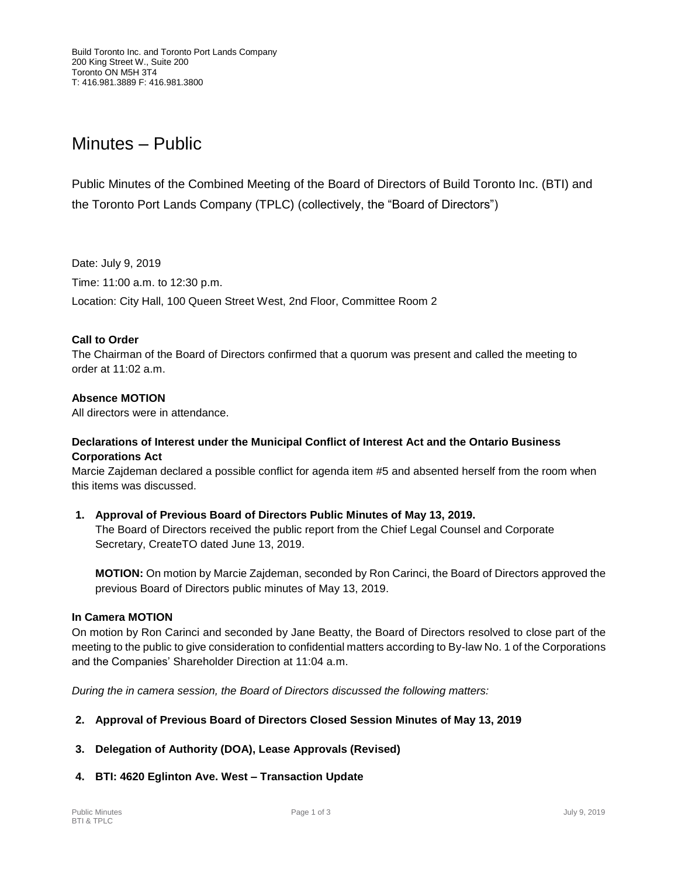# Minutes – Public

Public Minutes of the Combined Meeting of the Board of Directors of Build Toronto Inc. (BTI) and the Toronto Port Lands Company (TPLC) (collectively, the "Board of Directors")

Date: July 9, 2019

Time: 11:00 a.m. to 12:30 p.m.

Location: City Hall, 100 Queen Street West, 2nd Floor, Committee Room 2

### **Call to Order**

The Chairman of the Board of Directors confirmed that a quorum was present and called the meeting to order at 11:02 a.m.

### **Absence MOTION**

All directors were in attendance.

### **Declarations of Interest under the Municipal Conflict of Interest Act and the Ontario Business Corporations Act**

Marcie Zajdeman declared a possible conflict for agenda item #5 and absented herself from the room when this items was discussed.

**1. Approval of Previous Board of Directors Public Minutes of May 13, 2019.** The Board of Directors received the public report from the Chief Legal Counsel and Corporate Secretary, CreateTO dated June 13, 2019.

**MOTION:** On motion by Marcie Zajdeman, seconded by Ron Carinci, the Board of Directors approved the previous Board of Directors public minutes of May 13, 2019.

#### **In Camera MOTION**

On motion by Ron Carinci and seconded by Jane Beatty, the Board of Directors resolved to close part of the meeting to the public to give consideration to confidential matters according to By-law No. 1 of the Corporations and the Companies' Shareholder Direction at 11:04 a.m.

*During the in camera session, the Board of Directors discussed the following matters:*

- **2. Approval of Previous Board of Directors Closed Session Minutes of May 13, 2019**
- **3. Delegation of Authority (DOA), Lease Approvals (Revised)**
- **4. BTI: 4620 Eglinton Ave. West – Transaction Update**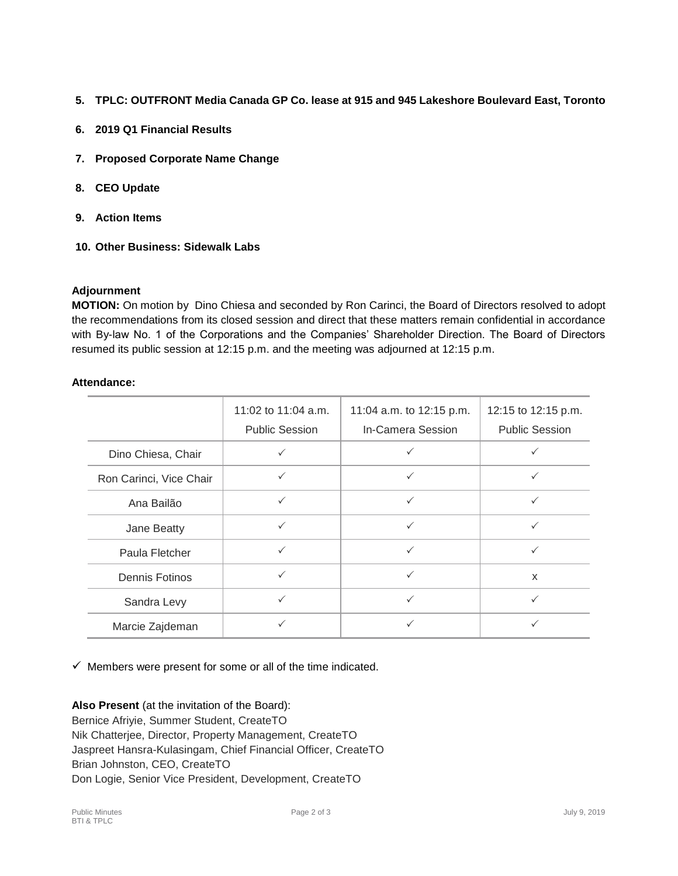- **5. TPLC: OUTFRONT Media Canada GP Co. lease at 915 and 945 Lakeshore Boulevard East, Toronto**
- **6. 2019 Q1 Financial Results**
- **7. Proposed Corporate Name Change**
- **8. CEO Update**
- **9. Action Items**
- **10. Other Business: Sidewalk Labs**

## **Adjournment**

**MOTION:** On motion by Dino Chiesa and seconded by Ron Carinci, the Board of Directors resolved to adopt the recommendations from its closed session and direct that these matters remain confidential in accordance with By-law No. 1 of the Corporations and the Companies' Shareholder Direction. The Board of Directors resumed its public session at 12:15 p.m. and the meeting was adjourned at 12:15 p.m.

### **Attendance:**

|                         | 11:02 to 11:04 a.m.<br><b>Public Session</b> | 11:04 a.m. to 12:15 p.m.<br>In-Camera Session | 12:15 to 12:15 p.m.<br><b>Public Session</b> |
|-------------------------|----------------------------------------------|-----------------------------------------------|----------------------------------------------|
| Dino Chiesa, Chair      |                                              |                                               |                                              |
| Ron Carinci, Vice Chair |                                              |                                               |                                              |
| Ana Bailão              | $\checkmark$                                 | $\checkmark$                                  | $\checkmark$                                 |
| Jane Beatty             | ✓                                            | ✓                                             | ✓                                            |
| Paula Fletcher          |                                              | ✓                                             | ✓                                            |
| Dennis Fotinos          |                                              | ✓                                             | X                                            |
| Sandra Levy             |                                              | ✓                                             | $\checkmark$                                 |
| Marcie Zajdeman         |                                              |                                               |                                              |

 $\checkmark$  Members were present for some or all of the time indicated.

**Also Present** (at the invitation of the Board): Bernice Afriyie, Summer Student, CreateTO Nik Chatterjee, Director, Property Management, CreateTO Jaspreet Hansra-Kulasingam, Chief Financial Officer, CreateTO Brian Johnston, CEO, CreateTO Don Logie, Senior Vice President, Development, CreateTO